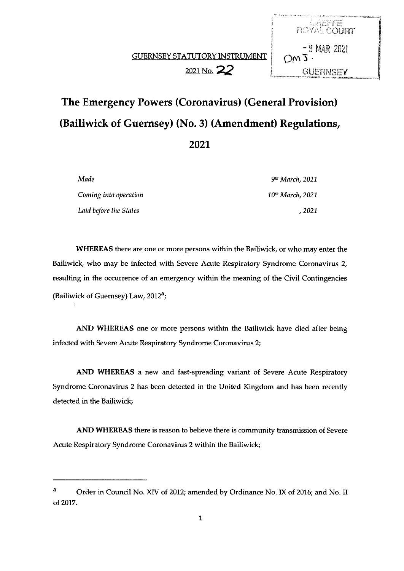**HARFEE**<br>ROYAL COURT

 $-9$  MAR 2021



| Made                   | 9 <sup>th</sup> March. 2021  |
|------------------------|------------------------------|
| Coming into operation  | 10 <sup>th</sup> March, 2021 |
| Laid before the States | . 2021                       |

WHEREAS there are one or more persons within the Bailiwick, or who may enter the Bailiwick, who may be infected with Severe Acute Respiratory Syndrome Coronavirus 2, resulting in the occurrence of an emergency within the meaning of the Civil Contingencies (Bailiwick of Guernsey) Law, 2012<sup>a</sup>;

AND WHEREAS one or more persons within the Bailiwick have died after being infected with Severe Acute Respiratory Syndrome Coronavirus 2;

AND WHEREAS a new and fast-spreading variant of Severe Acute Respiratory Syndrome Coronavirus 2 has been detected in the United Kingdom and has been recently detected in the Bailiwick;

AND WHEREAS there is reason to believe there is community transmission of Severe Acute Respiratory Syndrome Coronavirus 2 within the Bailiwick;

<sup>a</sup> Order in Council No. XIV of 2012; amended by Ordinance No. IX of 2016; and No. II of 2017.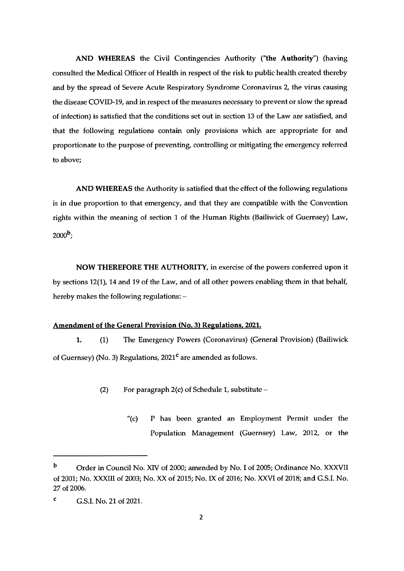AND WHEREAS the Civil Contingencies Authority ('the Authority") (having consulted the Medical Officer of Health in respect of the risk to public health created thereby and by the spread of Severe Acute Respiratory Syndrome Coronavirus 2, the virus causing the disease COVID-19, and in respect of the measures necessary to prevent or slow the spread of infection) is satisfied that the conditions set out in section 13 of the Law are satisfied, and that the following regulations contain only provisions which are appropriate for and proportionate to the purpose of preventing, controlling or mitigating the emergency referred to above;

AND WHEREAS the Authority is satisfied that the effect of the following regulations is in due proportion to that emergency, and that they are compatible with the Convention rights within the meaning of section <sup>1</sup> of the Human Rights (Bailiwick of Guernsey) Law,  $2000<sup>b</sup>$ 

NOW THEREFORE THE AUTHORITY, in exercise of the powers conferred upon it by sections 12(1), 14 and 19 of the Law, and of all other powers enabling them in that behalf, hereby makes the following regulations: —

### Amendment of the General Provision (No. 3) Regulations. 2021.

1. (1) The Emergency Powers (Coronavirus) (General Provision) (Bailiwick of Guernsey) (No. 3) Regulations,  $2021<sup>c</sup>$  are amended as follows.

- (2) For paragraph  $2(c)$  of Schedule 1, substitute
	- '(c) P has been granted an Employment Permit under the Population Management (Guernsey) Law, 2012, or the

b Order in Council No. XIV of 2000; amended by No. I of 2005; Ordinance No. XXXVII of 2001; No. XXXIII of 2003; No. XX of 2015; No. IX of 2016; No. XXVI of 2018; and G.S.I. No. 27 of 2006.

 $C = G.S.I.$  No. 21 of 2021.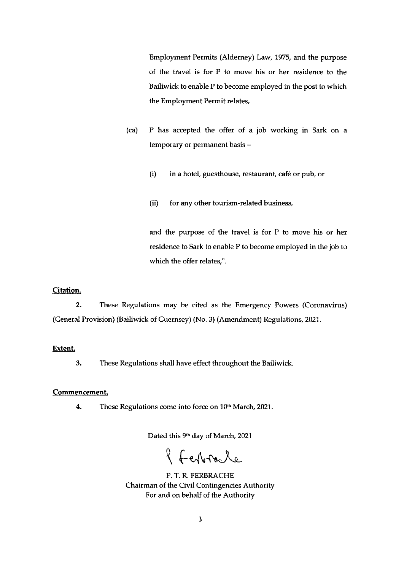Employment Permits (Alderney) Law, 1975, and the purpose of the travel is for P to move his or her residence to the Bailiwick to enable P to become employed in the post to which the Employment Permit relates,

- (ca) P has accepted the offer of a job working in Sark on a temporary or permanent basis —
	- (i) in a hotel, guesthouse, restaurant, café or pub, or
	- (ii) for any other tourism-related business,

and the purpose of the travel is for P to move his or her residence to Sark to enable P to become employed in the job to which the offer relates,".

# Citation.

2. These Regulations may be cited as the Emergency Powers (Coronavirus) (General Provision) (Bailiwick of Guernsey) (No. 3) (Amendment) Regulations, 2021.

### Extent.

3. These Regulations shall have effect throughout the Bailiwick.

# Commencement.

4. These Regulations come into force on 10" March, 2021.

Dated this 9th day of March, 2021

of Ferbracle

P. T. R. FERBRACHE Chairman of the Civil Contingencies Authority For and on behalf of the Authority